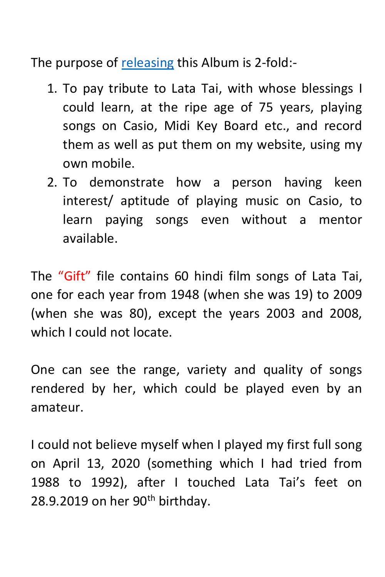The purpose of [releasing](https://www.youtube.com/watch?v=Pu5cikbigRA&t=48s) this Album (see page 4) is 2-fold:-

- 1. To pay tribute to Lata Tai, with whose blessings I could learn, at the ripe age of 75 years, playing songs on Casio, Midi Key Board etc., and record them as well as put them on my website, using my own mobile.
- 2. To demonstrate how a person having keen interest/ aptitude of playing music on Casio, to learn paying songs even without a mentor available.

The "Gift" file contains 60 hindi film songs of Lata Tai, one for each year from 1948 (when she was 19) to 2009 (when she was 80), except the years 2003 and 2008, which I could not locate.

One can see the range, variety and quality of songs rendered by her, which could be played even by an amateur.

I could not believe myself when I played my first full song on April 13, 2020 (something which I had tried from 1988 to 1992), after I touched Lata Tai's feet on 28.9.2019 on her  $90<sup>th</sup>$  birthday.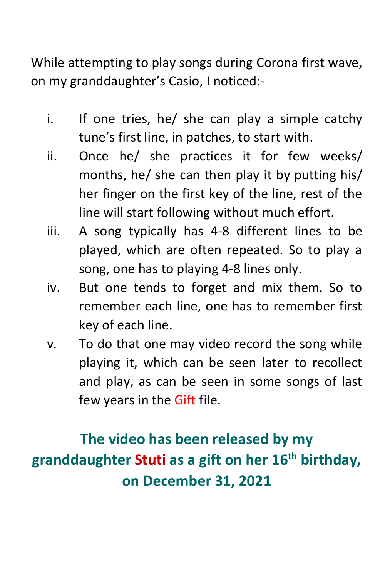While attempting to play songs during Corona first wave, on my granddaughter's Casio, I noticed:-

- i. If one tries, he/ she can play a simple catchy tune's first line, in patches, to start with.
- ii. Once he/ she practices it for few weeks/ months, he/ she can then play it by putting his/ her finger on the first key of the line, rest of the line will start following without much effort.
- iii. A song typically has 4-8 different lines to be played, which are often repeated. So to play a song, one has to playing 4-8 lines only.
- iv. But one tends to forget and mix them. So to remember each line, one has to remember first key of each line.
- v. To do that one may video record the song while playing it, which can be seen later to recollect and play, as can be seen in some songs of last few years in the Gift file.

## **The video has been released by my granddaughter Stuti as a gift on her 16th birthday, on December 31, 2021**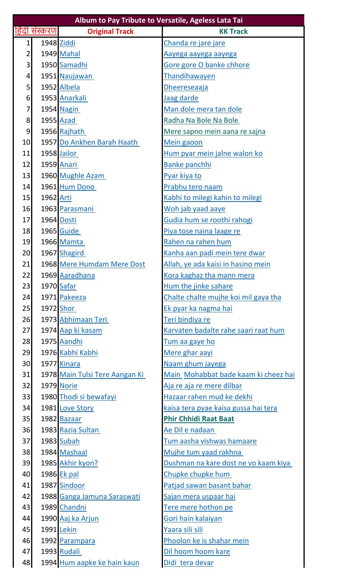| Album to Pay Tribute to Versatile, Ageless Lata Tai |               |                                |                                      |  |  |
|-----------------------------------------------------|---------------|--------------------------------|--------------------------------------|--|--|
|                                                     | हिंदी संस्करण | <b>Original Track</b>          | <b>KK Track</b>                      |  |  |
| $\mathbf{1}$                                        |               | 1948 Ziddi                     | Chanda re jare jare                  |  |  |
| 2                                                   |               | 1949 Mahal                     | <u>Aayega aayega aayega</u>          |  |  |
| 3                                                   |               | 1950 Samadhi                   | Gore gore O banke chhore             |  |  |
| 4                                                   |               | 1951 Naujawan                  | Thandihawayen                        |  |  |
| 5                                                   |               | 1952 Albela                    | Dheereseaaja                         |  |  |
| 6                                                   |               | 1953 Anarkali                  | Jaag darde                           |  |  |
| 7                                                   |               | 1954 Nagin                     | Man dole mera tan dole               |  |  |
| 8                                                   |               | <b>1955</b> Azad               | Radha Na Bole Na Bole                |  |  |
| 9                                                   |               | 1956 Rajhath                   | Mere sapno mein aana re sajna        |  |  |
| 10                                                  |               | 1957 Do Ankhen Barah Haath     | Mein gaoon                           |  |  |
| 11                                                  |               | 1958 Jailor                    | Hum pyar mein jalne walon ko         |  |  |
| 12                                                  |               | 1959 Anari                     | <b>Banke panchhi</b>                 |  |  |
| 13                                                  |               | 1960 Mughle Azam               | Pyar kiya to                         |  |  |
| 14                                                  |               | 1961 Hum Dono                  | Prabhu tero naam                     |  |  |
| 15                                                  | 1962 Arti     |                                | Kabhi to milegi kahin to milegi      |  |  |
| 16                                                  |               | 1963 Parasmani                 | Woh jab yaad aaye                    |  |  |
| 17                                                  |               | 1964 Dosti                     | Gudia hum se roothi rahogi           |  |  |
| 18                                                  |               | 1965 Guide                     | Piya tose naina laage re             |  |  |
| 19                                                  |               | 1966 Mamta                     | Rahen na rahen hum                   |  |  |
| 20                                                  |               | 1967 Shagird                   | Kanha aan padi mein tere dwar        |  |  |
| 21                                                  |               | 1968 Mere Humdam Mere Dost     | Allah, ye ada kaisi in hasino mein   |  |  |
| 22                                                  |               | 1969 Aaradhana                 | Kora kaghaz tha mann mera            |  |  |
| 23                                                  |               | 1970 Safar                     | Hum the jinke sahare                 |  |  |
| 24                                                  |               | 1971 Pakeeza                   | Chalte chalte mujhe koi mil gaya tha |  |  |
| 25                                                  |               | 1972 Shor                      | <u>Ek pyar ka nagma hai</u>          |  |  |
| 26                                                  |               | 1973 Abhimaan Teri             | <u>Teri bindiya re</u>               |  |  |
| 27                                                  |               | 1974 Aap ki kasam              | Karvaten badalte rahe saari raat hum |  |  |
| 28                                                  |               | 1975 Aandhi                    | <u>Tum aa gaye ho</u>                |  |  |
| 29                                                  |               | 1976 Kabhi Kabhi               | Mere ghar aayi                       |  |  |
| 30 <sup>1</sup>                                     |               | 1977 Kinara                    | Naam ghum jayega                     |  |  |
| 31                                                  |               | 1978 Main Tulsi Tere Aangan Ki | Main Mohabbat bade kaam ki cheez hai |  |  |
| 32                                                  |               | 1979 Norie                     | Aja re aja re mere dilbar            |  |  |
| 33                                                  |               | 1980 Thodi si bewafayi         | Hazaar rahen mud ke dekhi            |  |  |
| 34                                                  |               | 1981 Love Story                | kaisa tera pyae kaisa gussa hai tera |  |  |
| 35                                                  |               | 1982 Bazaar                    | <b>Phir Chhidi Raat Baat</b>         |  |  |
| 36                                                  |               | 1983 Razia Sultan              | <u>Ae Dil e nadaan </u>              |  |  |
| 37                                                  |               | 1983 Subah                     | Tum aasha vishwas hamaare            |  |  |
| 38                                                  |               | 1984 Mashaal                   | Mujhe tum yaad rakhna                |  |  |
| 39                                                  |               | 1985 Akhir kyon?               | Dushman na kare dost ne vo kaam kiya |  |  |
| 40                                                  |               | 1986 Ek pal                    | Chupke chupke hum                    |  |  |
| 41                                                  |               | 1987 Sindoor                   | Patjad sawan basant bahar            |  |  |
| 42                                                  |               | 1988 Ganga Jamuna Saraswati    | Sajan mera uspaar hai                |  |  |
| 43                                                  |               | 1989 Chandni                   | Tere mere hothon pe                  |  |  |
| 44                                                  |               | 1990 Aaj ka Arjun              | Gori hain kalaiyan                   |  |  |
| 45                                                  |               | 1991 Lekin                     | Yaara sili sili                      |  |  |
| 46                                                  |               | 1992 Parampara                 | Phoolon ke is shahar mein            |  |  |
| 47                                                  |               | 1993 Rudali                    | Dil hoom hoom kare                   |  |  |
| 48                                                  |               | 1994 Hum aapke ke hain kaun    | Didi tera devar                      |  |  |